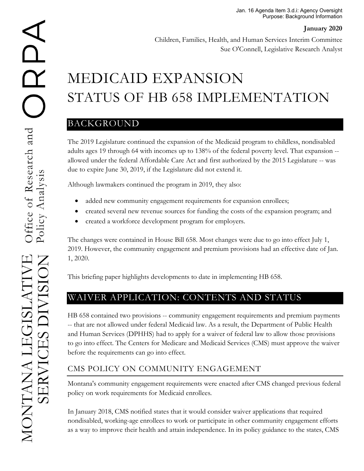Children, Families, Health, and Human Services Interim Committee Sue O'Connell, Legislative Research Analyst

# MEDICAID EXPANSION STATUS OF HB 658 IMPLEMENTATION

# BACKGROUND

The 2019 Legislature continued the expansion of the Medicaid program to childless, nondisabled adults ages 19 through 64 with incomes up to 138% of the federal poverty level. That expansion - allowed under the federal Affordable Care Act and first authorized by the 2015 Legislature -- was due to expire June 30, 2019, if the Legislature did not extend it.

Although lawmakers continued the program in 2019, they also:

- added new community engagement requirements for expansion enrollees;
- created several new revenue sources for funding the costs of the expansion program; and
- created a workforce development program for employers.

The changes were contained in House Bill 658. Most changes were due to go into effect July 1, 2019. However, the community engagement and premium provisions had an effective date of Jan. 1, 2020.

This briefing paper highlights developments to date in implementing HB 658.

# WAIVER APPLICATION: CONTENTS AND STATUS

HB 658 contained two provisions -- community engagement requirements and premium payments -- that are not allowed under federal Medicaid law. As a result, the Department of Public Health and Human Services (DPHHS) had to apply for a waiver of federal law to allow those provisions to go into effect. The Centers for Medicare and Medicaid Services (CMS) must approve the waiver before the requirements can go into effect.

# CMS POLICY ON COMMUNITY ENGAGEMENT

Montana's community engagement requirements were enacted after CMS changed previous federal policy on work requirements for Medicaid enrollees.

In January 2018, CMS notified states that it would consider waiver applications that required nondisabled, working-age enrollees to work or participate in other community engagement efforts as a way to improve their health and attain independence. In its policy guidance to the states, CMS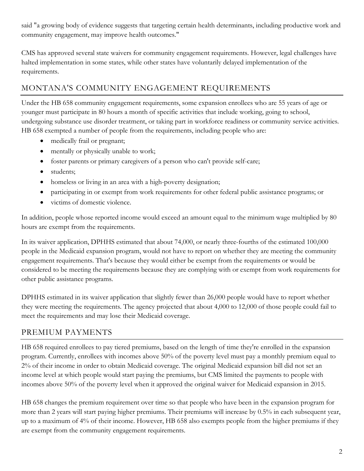said "a growing body of evidence suggests that targeting certain health determinants, including productive work and community engagement, may improve health outcomes."

CMS has approved several state waivers for community engagement requirements. However, legal challenges have halted implementation in some states, while other states have voluntarily delayed implementation of the requirements.

### MONTANA'S COMMUNITY ENGAGEMENT REQUIREMENTS

Under the HB 658 community engagement requirements, some expansion enrollees who are 55 years of age or younger must participate in 80 hours a month of specific activities that include working, going to school, undergoing substance use disorder treatment, or taking part in workforce readiness or community service activities. HB 658 exempted a number of people from the requirements, including people who are:

- medically frail or pregnant;
- mentally or physically unable to work;
- foster parents or primary caregivers of a person who can't provide self-care;
- students;
- homeless or living in an area with a high-poverty designation;
- participating in or exempt from work requirements for other federal public assistance programs; or
- victims of domestic violence.

In addition, people whose reported income would exceed an amount equal to the minimum wage multiplied by 80 hours are exempt from the requirements.

In its waiver application, DPHHS estimated that about 74,000, or nearly three-fourths of the estimated 100,000 people in the Medicaid expansion program, would not have to report on whether they are meeting the community engagement requirements. That's because they would either be exempt from the requirements or would be considered to be meeting the requirements because they are complying with or exempt from work requirements for other public assistance programs.

DPHHS estimated in its waiver application that slightly fewer than 26,000 people would have to report whether they were meeting the requirements. The agency projected that about 4,000 to 12,000 of those people could fail to meet the requirements and may lose their Medicaid coverage.

#### PREMIUM PAYMENTS

HB 658 required enrollees to pay tiered premiums, based on the length of time they're enrolled in the expansion program. Currently, enrollees with incomes above 50% of the poverty level must pay a monthly premium equal to 2% of their income in order to obtain Medicaid coverage. The original Medicaid expansion bill did not set an income level at which people would start paying the premiums, but CMS limited the payments to people with incomes above 50% of the poverty level when it approved the original waiver for Medicaid expansion in 2015.

HB 658 changes the premium requirement over time so that people who have been in the expansion program for more than 2 years will start paying higher premiums. Their premiums will increase by 0.5% in each subsequent year, up to a maximum of 4% of their income. However, HB 658 also exempts people from the higher premiums if they are exempt from the community engagement requirements.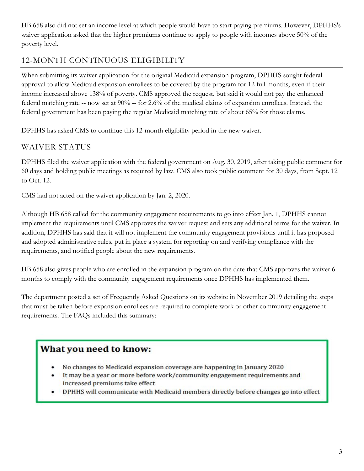HB 658 also did not set an income level at which people would have to start paying premiums. However, DPHHS's waiver application asked that the higher premiums continue to apply to people with incomes above 50% of the poverty level.

## 12-MONTH CONTINUOUS ELIGIBILITY

When submitting its waiver application for the original Medicaid expansion program, DPHHS sought federal approval to allow Medicaid expansion enrollees to be covered by the program for 12 full months, even if their income increased above 138% of poverty. CMS approved the request, but said it would not pay the enhanced federal matching rate -- now set at 90% -- for 2.6% of the medical claims of expansion enrollees. Instead, the federal government has been paying the regular Medicaid matching rate of about 65% for those claims.

DPHHS has asked CMS to continue this 12-month eligibility period in the new waiver.

### WAIVER STATUS

DPHHS filed the waiver application with the federal government on Aug. 30, 2019, after taking public comment for 60 days and holding public meetings as required by law. CMS also took public comment for 30 days, from Sept. 12 to Oct. 12.

CMS had not acted on the waiver application by Jan. 2, 2020.

Although HB 658 called for the community engagement requirements to go into effect Jan. 1, DPHHS cannot implement the requirements until CMS approves the waiver request and sets any additional terms for the waiver. In addition, DPHHS has said that it will not implement the community engagement provisions until it has proposed and adopted administrative rules, put in place a system for reporting on and verifying compliance with the requirements, and notified people about the new requirements.

HB 658 also gives people who are enrolled in the expansion program on the date that CMS approves the waiver 6 months to comply with the community engagement requirements once DPHHS has implemented them.

The department posted a set of Frequently Asked Questions on its website in November 2019 detailing the steps that must be taken before expansion enrollees are required to complete work or other community engagement requirements. The FAQs included this summary:

### What you need to know:

- No changes to Medicaid expansion coverage are happening in January 2020
- It may be a year or more before work/community engagement requirements and increased premiums take effect
- DPHHS will communicate with Medicaid members directly before changes go into effect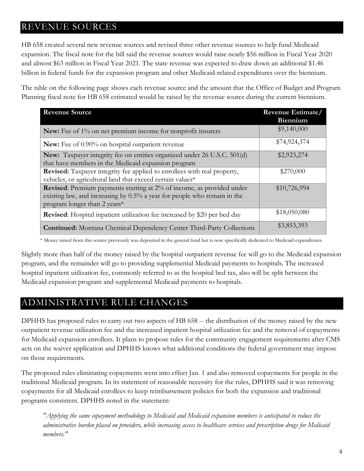# REVENUE SOURCES

HB 658 created several new revenue sources and revised three other revenue sources to help fund Medicaid expansion. The fiscal note for the bill said the revenue sources would raise nearly \$56 million in Fiscal Year 2020 and almost \$63 million in Fiscal Year 2021. The state revenue was expected to draw down an additional \$1.46 billion in federal funds for the expansion program and other Medicaid-related expenditures over the biennium.

The table on the following page shows each revenue source and the amount that the Office of Budget and Program Planning fiscal note for HB 658 estimated would be raised by the revenue source during the current biennium.

| <b>Revenue Source</b>                                                                                                                                                                    | Revenue Estimate/<br>Biennium |
|------------------------------------------------------------------------------------------------------------------------------------------------------------------------------------------|-------------------------------|
| New: Fee of 1% on net premium income for nonprofit insurers                                                                                                                              | \$9,140,000                   |
| <b>New:</b> Fee of 0.90% on hospital outpatient revenue                                                                                                                                  | \$74,924,374                  |
| New: Taxpayer integrity fee on entities organized under 26 U.S.C. 501(d)<br>that have members in the Medicaid expansion program                                                          | \$2,923,274                   |
| <b>Revised:</b> Taxpayer integrity fee applied to enrollees with real property,<br>vehicles, or agricultural land that exceed certain values*                                            | \$270,000                     |
| <b>Revised:</b> Premium payments starting at 2% of income, as provided under<br>existing law, and increasing by 0.5% a year for people who remain in the<br>program longer than 2 years* | \$10,726,994                  |
| <b>Revised:</b> Hospital inpatient utilization fee increased by \$20 per bed day                                                                                                         | \$18,050,080                  |
| <b>Continued:</b> Montana Chemical Dependency Center Third-Party Collections                                                                                                             | \$3,853,393                   |

\* Money raised from this source previously was deposited in the general fund but is now specifically dedicated to Medicaid expenditures.

Slightly more than half of the money raised by the hospital outpatient revenue fee will go to the Medicaid expansion program, and the remainder will go to providing supplemental Medicaid payments to hospitals. The increased hospital inpatient utilization fee, commonly referred to as the hospital bed tax, also will be split between the Medicaid expansion program and supplemental Medicaid payments to hospitals.

# ADMINISTRATIVE RULE CHANGES

DPHHS has proposed rules to carry out two aspects of HB 658 -- the distribution of the money raised by the new outpatient revenue utilization fee and the increased inpatient hospital utilization fee and the removal of copayments for Medicaid expansion enrollees. It plans to propose rules for the community engagement requirements after CMS acts on the waiver application and DPHHS knows what additional conditions the federal government may impose on those requirements.

The proposed rules eliminating copayments went into effect Jan. 1 and also removed copayments for people in the traditional Medicaid program. In its statement of reasonable necessity for the rules, DPHHS said it was removing copayments for all Medicaid enrollees to keep reimbursement policies for both the expansion and traditional programs consistent. DPHHS noted in the statement:

*"Applying the same copayment methodology to Medicaid and Medicaid expansion members is anticipated to reduce the administrative burden placed on providers, while increasing access to healthcare services and prescription drugs for Medicaid members."*